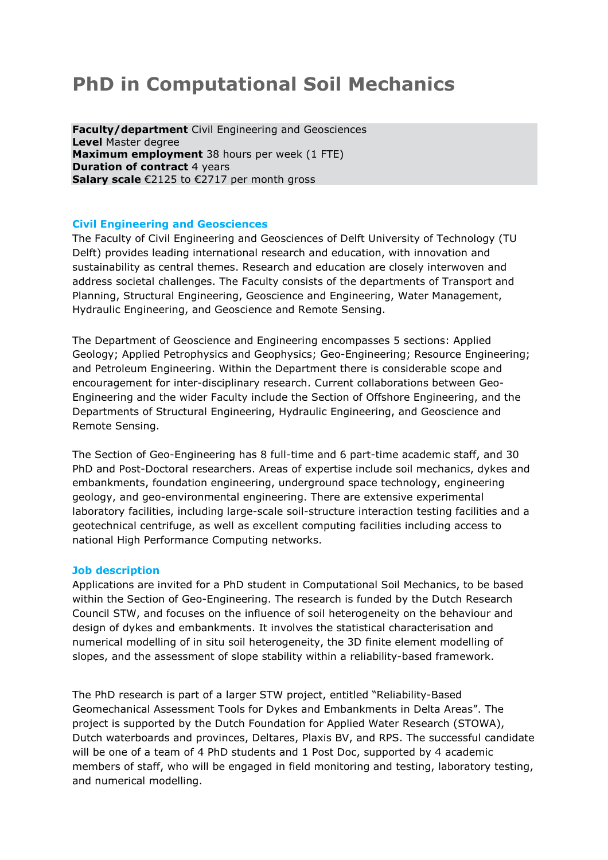# **PhD in Computational Soil Mechanics**

**Faculty/department** Civil Engineering and Geosciences **Level** Master degree **Maximum employment** 38 hours per week (1 FTE) **Duration of contract 4 years Salary scale** €2125 to €2717 per month gross

## **Civil Engineering and Geosciences**

The Faculty of Civil Engineering and Geosciences of Delft University of Technology (TU Delft) provides leading international research and education, with innovation and sustainability as central themes. Research and education are closely interwoven and address societal challenges. The Faculty consists of the departments of Transport and Planning, Structural Engineering, Geoscience and Engineering, Water Management, Hydraulic Engineering, and Geoscience and Remote Sensing.

The Department of Geoscience and Engineering encompasses 5 sections: Applied Geology; Applied Petrophysics and Geophysics; Geo-Engineering; Resource Engineering; and Petroleum Engineering. Within the Department there is considerable scope and encouragement for inter-disciplinary research. Current collaborations between Geo-Engineering and the wider Faculty include the Section of Offshore Engineering, and the Departments of Structural Engineering, Hydraulic Engineering, and Geoscience and Remote Sensing.

The Section of Geo-Engineering has 8 full-time and 6 part-time academic staff, and 30 PhD and Post-Doctoral researchers. Areas of expertise include soil mechanics, dykes and embankments, foundation engineering, underground space technology, engineering geology, and geo-environmental engineering. There are extensive experimental laboratory facilities, including large-scale soil-structure interaction testing facilities and a geotechnical centrifuge, as well as excellent computing facilities including access to national High Performance Computing networks.

### **Job description**

Applications are invited for a PhD student in Computational Soil Mechanics, to be based within the Section of Geo-Engineering. The research is funded by the Dutch Research Council STW, and focuses on the influence of soil heterogeneity on the behaviour and design of dykes and embankments. It involves the statistical characterisation and numerical modelling of in situ soil heterogeneity, the 3D finite element modelling of slopes, and the assessment of slope stability within a reliability-based framework.

The PhD research is part of a larger STW project, entitled "Reliability-Based Geomechanical Assessment Tools for Dykes and Embankments in Delta Areas". The project is supported by the Dutch Foundation for Applied Water Research (STOWA), Dutch waterboards and provinces, Deltares, Plaxis BV, and RPS. The successful candidate will be one of a team of 4 PhD students and 1 Post Doc, supported by 4 academic members of staff, who will be engaged in field monitoring and testing, laboratory testing, and numerical modelling.